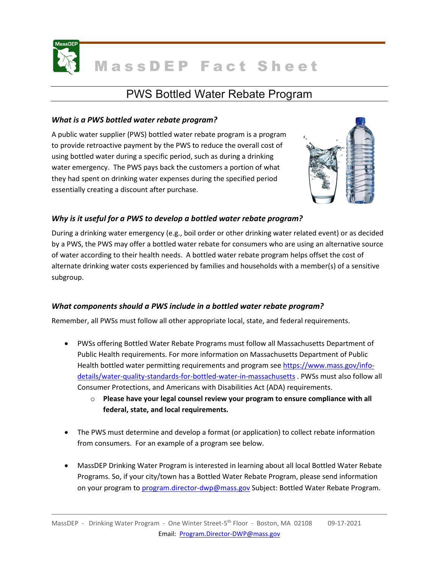

# PWS Bottled Water Rebate Program

#### *What is a PWS bottled water rebate program?*

A public water supplier (PWS) bottled water rebate program is a program to provide retroactive payment by the PWS to reduce the overall cost of using bottled water during a specific period, such as during a drinking water emergency. The PWS pays back the customers a portion of what they had spent on drinking water expenses during the specified period essentially creating a discount after purchase.



## *Why is it useful for a PWS to develop a bottled water rebate program?*

During a drinking water emergency (e.g., boil order or other drinking water related event) or as decided by a PWS, the PWS may offer a bottled water rebate for consumers who are using an alternative source of water according to their health needs. A bottled water rebate program helps offset the cost of alternate drinking water costs experienced by families and households with a member(s) of a sensitive subgroup.

## *What components should a PWS include in a bottled water rebate program?*

Remember, all PWSs must follow all other appropriate local, state, and federal requirements.

- PWSs offering Bottled Water Rebate Programs must follow all Massachusetts Department of Public Health requirements. For more information on Massachusetts Department of Public Health bottled water permitting requirements and program see [https://www.mass.gov/info](https://www.mass.gov/info-details/water-quality-standards-for-bottled-water-in-massachusetts)[details/water-quality-standards-for-bottled-water-in-massachusetts](https://www.mass.gov/info-details/water-quality-standards-for-bottled-water-in-massachusetts) . PWSs must also follow all Consumer Protections, and Americans with Disabilities Act (ADA) requirements.
	- o **Please have your legal counsel review your program to ensure compliance with all federal, state, and local requirements.**
- The PWS must determine and develop a format (or application) to collect rebate information from consumers. For an example of a program see below.
- MassDEP Drinking Water Program is interested in learning about all local Bottled Water Rebate Programs. So, if your city/town has a Bottled Water Rebate Program, please send information on your program to [program.director-dwp@mass.gov](mailto:program.director-dwp@mas.gov) Subject: Bottled Water Rebate Program.